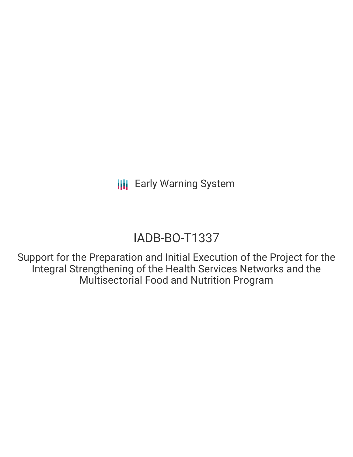## IADB-BO-T1337

Support for the Preparation and Initial Execution of the Project for the Integral Strengthening of the Health Services Networks and the Multisectorial Food and Nutrition Program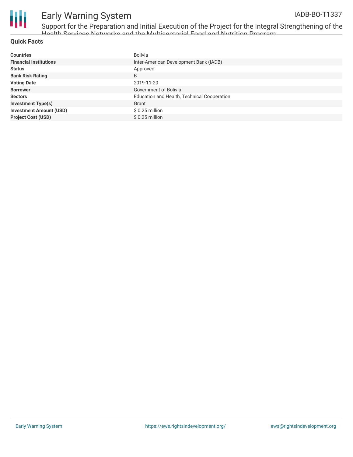

Support for the Preparation and Initial Execution of the Project for the Integral Strengthening of the Health Services Networks and the Multisectorial Food and Nutrition Program

#### **Quick Facts**

| <b>Countries</b>               | Bolivia                                     |
|--------------------------------|---------------------------------------------|
| <b>Financial Institutions</b>  | Inter-American Development Bank (IADB)      |
| <b>Status</b>                  | Approved                                    |
| <b>Bank Risk Rating</b>        | B                                           |
| <b>Voting Date</b>             | 2019-11-20                                  |
| <b>Borrower</b>                | Government of Bolivia                       |
| <b>Sectors</b>                 | Education and Health, Technical Cooperation |
| <b>Investment Type(s)</b>      | Grant                                       |
| <b>Investment Amount (USD)</b> | $$0.25$ million                             |
| <b>Project Cost (USD)</b>      | $$0.25$ million                             |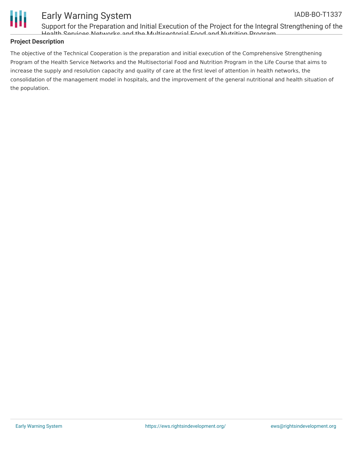



Support for the Preparation and Initial Execution of the Project for the Integral Strengthening of the Health Services Networks and the Multisectorial Food and Nutrition Program

#### **Project Description**

The objective of the Technical Cooperation is the preparation and initial execution of the Comprehensive Strengthening Program of the Health Service Networks and the Multisectorial Food and Nutrition Program in the Life Course that aims to increase the supply and resolution capacity and quality of care at the first level of attention in health networks, the consolidation of the management model in hospitals, and the improvement of the general nutritional and health situation of the population.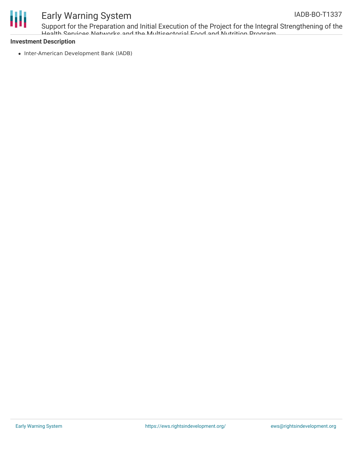

# Ш

## Early Warning System

Support for the Preparation and Initial Execution of the Project for the Integral Strengthening of the Health Services Networks and the Multisectorial Food and Nutrition Program

#### **Investment Description**

• Inter-American Development Bank (IADB)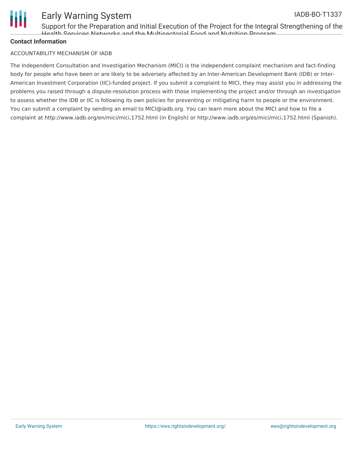

Support for the Preparation and Initial Execution of the Project for the Integral Strengthening of the Health Services Networks and the Multisectorial Food and Nutrition Program

#### **Contact Information**

#### ACCOUNTABILITY MECHANISM OF IADB

The Independent Consultation and Investigation Mechanism (MICI) is the independent complaint mechanism and fact-finding body for people who have been or are likely to be adversely affected by an Inter-American Development Bank (IDB) or Inter-American Investment Corporation (IIC)-funded project. If you submit a complaint to MICI, they may assist you in addressing the problems you raised through a dispute-resolution process with those implementing the project and/or through an investigation to assess whether the IDB or IIC is following its own policies for preventing or mitigating harm to people or the environment. You can submit a complaint by sending an email to MICI@iadb.org. You can learn more about the MICI and how to file a complaint at http://www.iadb.org/en/mici/mici,1752.html (in English) or http://www.iadb.org/es/mici/mici,1752.html (Spanish).